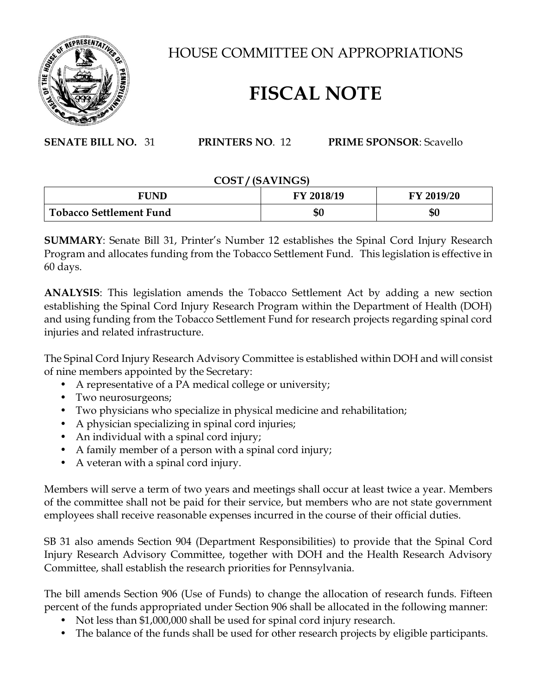

HOUSE COMMITTEE ON APPROPRIATIONS

## **FISCAL NOTE**

**SENATE BILL NO.** 31 **PRINTERS NO**. 12 **PRIME SPONSOR**: Scavello

## **COST / (SAVINGS)**

| FUND                           | FY 2018/19 | FY 2019/20 |
|--------------------------------|------------|------------|
| <b>Tobacco Settlement Fund</b> | \$0        | \$0        |

**SUMMARY**: Senate Bill 31, Printer's Number 12 establishes the Spinal Cord Injury Research Program and allocates funding from the Tobacco Settlement Fund. This legislation is effective in 60 days.

**ANALYSIS**: This legislation amends the Tobacco Settlement Act by adding a new section establishing the Spinal Cord Injury Research Program within the Department of Health (DOH) and using funding from the Tobacco Settlement Fund for research projects regarding spinal cord injuries and related infrastructure.

The Spinal Cord Injury Research Advisory Committee is established within DOH and will consist of nine members appointed by the Secretary:

- A representative of a PA medical college or university;
- Two neurosurgeons;
- Two physicians who specialize in physical medicine and rehabilitation;
- A physician specializing in spinal cord injuries;
- An individual with a spinal cord injury;
- A family member of a person with a spinal cord injury;
- A veteran with a spinal cord injury.

Members will serve a term of two years and meetings shall occur at least twice a year. Members of the committee shall not be paid for their service, but members who are not state government employees shall receive reasonable expenses incurred in the course of their official duties.

SB 31 also amends Section 904 (Department Responsibilities) to provide that the Spinal Cord Injury Research Advisory Committee, together with DOH and the Health Research Advisory Committee, shall establish the research priorities for Pennsylvania.

The bill amends Section 906 (Use of Funds) to change the allocation of research funds. Fifteen percent of the funds appropriated under Section 906 shall be allocated in the following manner:

- Not less than \$1,000,000 shall be used for spinal cord injury research.
- The balance of the funds shall be used for other research projects by eligible participants.